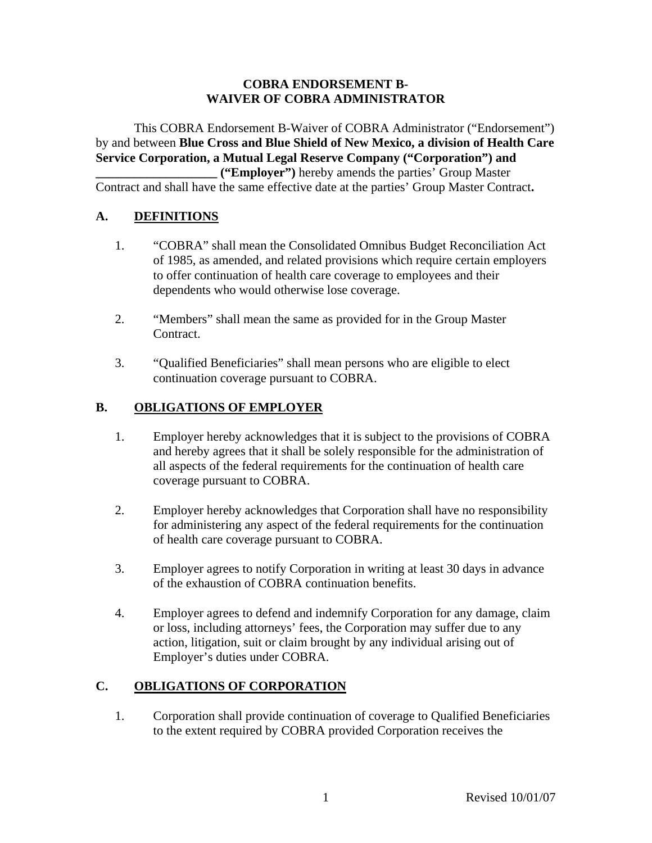#### **COBRA ENDORSEMENT B-WAIVER OF COBRA ADMINISTRATOR**

This COBRA Endorsement B-Waiver of COBRA Administrator ("Endorsement") by and between **Blue Cross and Blue Shield of New Mexico, a division of Health Care Service Corporation, a Mutual Legal Reserve Company ("Corporation") and \_\_\_\_\_\_\_\_\_\_\_\_\_\_\_\_\_\_\_ ("Employer")** hereby amends the parties' Group Master Contract and shall have the same effective date at the parties' Group Master Contract**.** 

# **A. DEFINITIONS**

- 1. "COBRA" shall mean the Consolidated Omnibus Budget Reconciliation Act of 1985, as amended, and related provisions which require certain employers to offer continuation of health care coverage to employees and their dependents who would otherwise lose coverage.
- 2. "Members" shall mean the same as provided for in the Group Master Contract.
- 3. "Qualified Beneficiaries" shall mean persons who are eligible to elect continuation coverage pursuant to COBRA.

#### **B. OBLIGATIONS OF EMPLOYER**

- 1. Employer hereby acknowledges that it is subject to the provisions of COBRA and hereby agrees that it shall be solely responsible for the administration of all aspects of the federal requirements for the continuation of health care coverage pursuant to COBRA.
- 2. Employer hereby acknowledges that Corporation shall have no responsibility for administering any aspect of the federal requirements for the continuation of health care coverage pursuant to COBRA.
- 3. Employer agrees to notify Corporation in writing at least 30 days in advance of the exhaustion of COBRA continuation benefits.
- 4. Employer agrees to defend and indemnify Corporation for any damage, claim or loss, including attorneys' fees, the Corporation may suffer due to any action, litigation, suit or claim brought by any individual arising out of Employer's duties under COBRA.

# **C. OBLIGATIONS OF CORPORATION**

1. Corporation shall provide continuation of coverage to Qualified Beneficiaries to the extent required by COBRA provided Corporation receives the